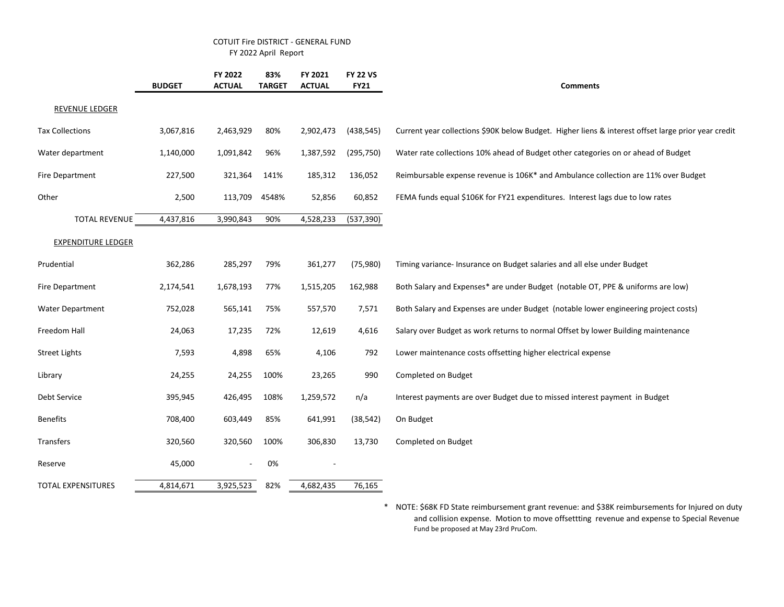## COTUIT Fire DISTRICT - GENERAL FUND FY 2022 April Report

|                           | <b>BUDGET</b> | FY 2022<br><b>ACTUAL</b> | 83%<br><b>TARGET</b> | FY 2021<br><b>ACTUAL</b> | <b>FY 22 VS</b><br><b>FY21</b> | <b>Comments</b>                                                                                     |
|---------------------------|---------------|--------------------------|----------------------|--------------------------|--------------------------------|-----------------------------------------------------------------------------------------------------|
| REVENUE LEDGER            |               |                          |                      |                          |                                |                                                                                                     |
| <b>Tax Collections</b>    | 3,067,816     | 2,463,929                | 80%                  | 2,902,473                | (438, 545)                     | Current year collections \$90K below Budget. Higher liens & interest offset large prior year credit |
| Water department          | 1,140,000     | 1,091,842                | 96%                  | 1,387,592                | (295, 750)                     | Water rate collections 10% ahead of Budget other categories on or ahead of Budget                   |
| Fire Department           | 227,500       | 321,364                  | 141%                 | 185,312                  | 136,052                        | Reimbursable expense revenue is 106K* and Ambulance collection are 11% over Budget                  |
| Other                     | 2,500         | 113,709                  | 4548%                | 52,856                   | 60,852                         | FEMA funds equal \$106K for FY21 expenditures. Interest lags due to low rates                       |
| <b>TOTAL REVENUE</b>      | 4,437,816     | 3,990,843                | 90%                  | 4,528,233                | (537, 390)                     |                                                                                                     |
| <b>EXPENDITURE LEDGER</b> |               |                          |                      |                          |                                |                                                                                                     |
| Prudential                | 362,286       | 285,297                  | 79%                  | 361,277                  | (75, 980)                      | Timing variance- Insurance on Budget salaries and all else under Budget                             |
| Fire Department           | 2,174,541     | 1,678,193                | 77%                  | 1,515,205                | 162,988                        | Both Salary and Expenses* are under Budget (notable OT, PPE & uniforms are low)                     |
| <b>Water Department</b>   | 752,028       | 565,141                  | 75%                  | 557,570                  | 7,571                          | Both Salary and Expenses are under Budget (notable lower engineering project costs)                 |
| Freedom Hall              | 24,063        | 17,235                   | 72%                  | 12,619                   | 4,616                          | Salary over Budget as work returns to normal Offset by lower Building maintenance                   |
| <b>Street Lights</b>      | 7,593         | 4,898                    | 65%                  | 4,106                    | 792                            | Lower maintenance costs offsetting higher electrical expense                                        |
| Library                   | 24,255        | 24,255                   | 100%                 | 23,265                   | 990                            | Completed on Budget                                                                                 |
| Debt Service              | 395,945       | 426,495                  | 108%                 | 1,259,572                | n/a                            | Interest payments are over Budget due to missed interest payment in Budget                          |
| <b>Benefits</b>           | 708,400       | 603,449                  | 85%                  | 641,991                  | (38, 542)                      | On Budget                                                                                           |
| Transfers                 | 320,560       | 320,560                  | 100%                 | 306,830                  | 13,730                         | Completed on Budget                                                                                 |
| Reserve                   | 45,000        | $\overline{\phantom{a}}$ | 0%                   |                          |                                |                                                                                                     |
| <b>TOTAL EXPENSITURES</b> | 4,814,671     | 3,925,523                | 82%                  | 4,682,435                | 76,165                         |                                                                                                     |

\* NOTE: \$68K FD State reimbursement grant revenue: and \$38K reimbursements for Injured on duty and collision expense. Motion to move offsettting revenue and expense to Special Revenue Fund be proposed at May 23rd PruCom.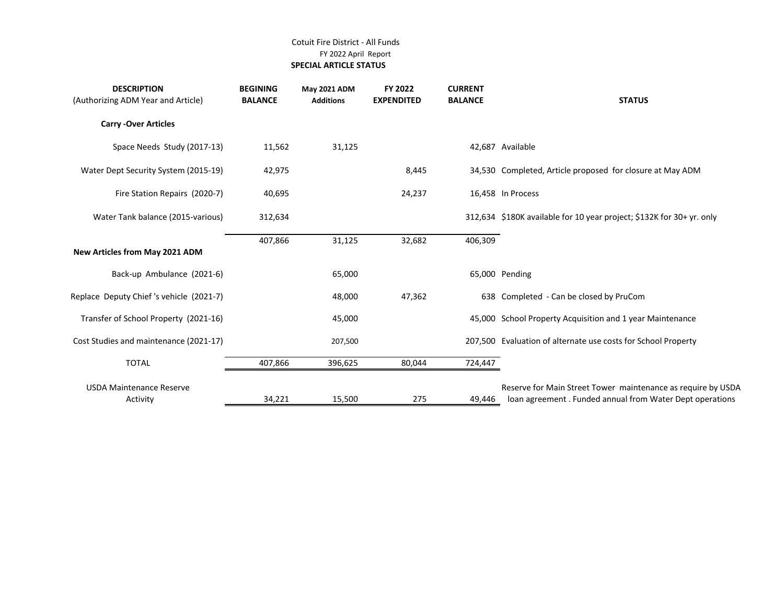## Cotuit Fire District - All Funds FY 2022 April Report  **SPECIAL ARTICLE STATUS**

| <b>DESCRIPTION</b><br>(Authorizing ADM Year and Article) | <b>BEGINING</b><br><b>BALANCE</b> | <b>May 2021 ADM</b><br><b>Additions</b> | FY 2022<br><b>EXPENDITED</b> | <b>CURRENT</b><br><b>BALANCE</b> | <b>STATUS</b>                                                                                                            |
|----------------------------------------------------------|-----------------------------------|-----------------------------------------|------------------------------|----------------------------------|--------------------------------------------------------------------------------------------------------------------------|
| <b>Carry -Over Articles</b>                              |                                   |                                         |                              |                                  |                                                                                                                          |
| Space Needs Study (2017-13)                              | 11,562                            | 31,125                                  |                              |                                  | 42,687 Available                                                                                                         |
| Water Dept Security System (2015-19)                     | 42,975                            |                                         | 8,445                        |                                  | 34,530 Completed, Article proposed for closure at May ADM                                                                |
| Fire Station Repairs (2020-7)                            | 40,695                            |                                         | 24,237                       |                                  | 16,458 In Process                                                                                                        |
| Water Tank balance (2015-various)                        | 312,634                           |                                         |                              |                                  | 312,634 \$180K available for 10 year project; \$132K for 30+ yr. only                                                    |
| New Articles from May 2021 ADM                           | 407,866                           | 31,125                                  | 32,682                       | 406,309                          |                                                                                                                          |
| Back-up Ambulance (2021-6)                               |                                   | 65,000                                  |                              |                                  | 65,000 Pending                                                                                                           |
| Replace Deputy Chief 's vehicle (2021-7)                 |                                   | 48,000                                  | 47,362                       |                                  | 638 Completed - Can be closed by PruCom                                                                                  |
| Transfer of School Property (2021-16)                    |                                   | 45,000                                  |                              |                                  | 45,000 School Property Acquisition and 1 year Maintenance                                                                |
| Cost Studies and maintenance (2021-17)                   |                                   | 207,500                                 |                              |                                  | 207,500 Evaluation of alternate use costs for School Property                                                            |
| <b>TOTAL</b>                                             | 407,866                           | 396,625                                 | 80,044                       | 724,447                          |                                                                                                                          |
| <b>USDA Maintenance Reserve</b><br>Activity              | 34,221                            | 15,500                                  | 275                          | 49,446                           | Reserve for Main Street Tower maintenance as require by USDA<br>loan agreement. Funded annual from Water Dept operations |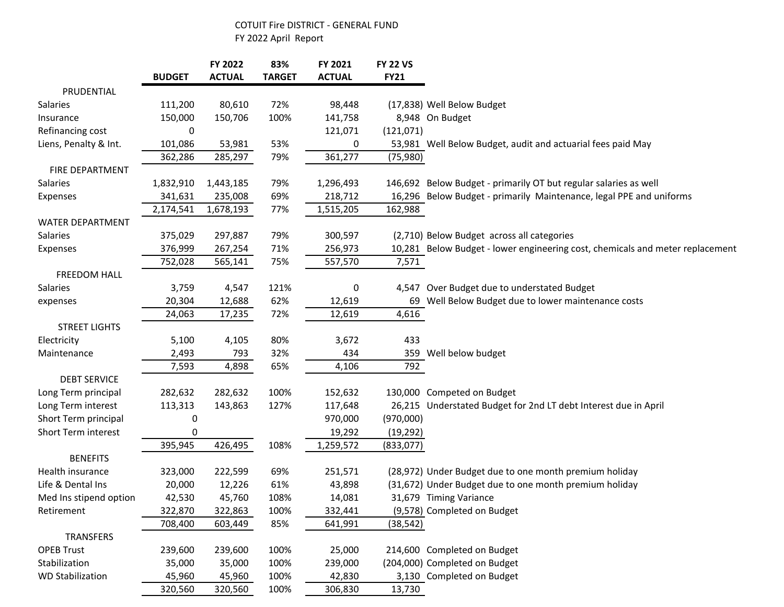## COTUIT Fire DISTRICT - GENERAL FUND FY 2022 April Report

|                         | <b>BUDGET</b> | FY 2022<br><b>ACTUAL</b> | 83%<br><b>TARGET</b> | FY 2021<br><b>ACTUAL</b> | <b>FY 22 VS</b><br><b>FY21</b> |                                                                               |
|-------------------------|---------------|--------------------------|----------------------|--------------------------|--------------------------------|-------------------------------------------------------------------------------|
| PRUDENTIAL              |               |                          |                      |                          |                                |                                                                               |
| <b>Salaries</b>         | 111,200       | 80,610                   | 72%                  | 98,448                   |                                | (17,838) Well Below Budget                                                    |
| Insurance               | 150,000       | 150,706                  | 100%                 | 141,758                  |                                | 8,948 On Budget                                                               |
| Refinancing cost        | 0             |                          |                      | 121,071                  | (121, 071)                     |                                                                               |
| Liens, Penalty & Int.   | 101,086       | 53,981                   | 53%                  | 0                        |                                | 53,981 Well Below Budget, audit and actuarial fees paid May                   |
|                         | 362,286       | 285,297                  | 79%                  | 361,277                  | (75, 980)                      |                                                                               |
| FIRE DEPARTMENT         |               |                          |                      |                          |                                |                                                                               |
| Salaries                | 1,832,910     | 1,443,185                | 79%                  | 1,296,493                |                                | 146,692 Below Budget - primarily OT but regular salaries as well              |
| Expenses                | 341,631       | 235,008                  | 69%                  | 218,712                  |                                | 16,296 Below Budget - primarily Maintenance, legal PPE and uniforms           |
|                         | 2,174,541     | 1,678,193                | 77%                  | 1,515,205                | 162,988                        |                                                                               |
| <b>WATER DEPARTMENT</b> |               |                          |                      |                          |                                |                                                                               |
| Salaries                | 375,029       | 297,887                  | 79%                  | 300,597                  |                                | (2,710) Below Budget across all categories                                    |
| Expenses                | 376,999       | 267,254                  | 71%                  | 256,973                  |                                | 10,281 Below Budget - lower engineering cost, chemicals and meter replacement |
|                         | 752,028       | 565,141                  | 75%                  | 557,570                  | 7,571                          |                                                                               |
| <b>FREEDOM HALL</b>     |               |                          |                      |                          |                                |                                                                               |
| Salaries                | 3,759         | 4,547                    | 121%                 | 0                        |                                | 4,547 Over Budget due to understated Budget                                   |
| expenses                | 20,304        | 12,688                   | 62%                  | 12,619                   |                                | 69 Well Below Budget due to lower maintenance costs                           |
|                         | 24,063        | 17,235                   | 72%                  | 12,619                   | 4,616                          |                                                                               |
| <b>STREET LIGHTS</b>    |               |                          |                      |                          |                                |                                                                               |
| Electricity             | 5,100         | 4,105                    | 80%                  | 3,672                    | 433                            |                                                                               |
| Maintenance             | 2,493         | 793                      | 32%                  | 434                      |                                | 359 Well below budget                                                         |
|                         | 7,593         | 4,898                    | 65%                  | 4,106                    | 792                            |                                                                               |
| <b>DEBT SERVICE</b>     |               |                          |                      |                          |                                |                                                                               |
| Long Term principal     | 282,632       | 282,632                  | 100%                 | 152,632                  |                                | 130,000 Competed on Budget                                                    |
| Long Term interest      | 113,313       | 143,863                  | 127%                 | 117,648                  |                                | 26,215 Understated Budget for 2nd LT debt Interest due in April               |
| Short Term principal    | 0             |                          |                      | 970,000                  | (970,000)                      |                                                                               |
| Short Term interest     | 0             |                          |                      | 19,292                   | (19, 292)                      |                                                                               |
|                         | 395,945       | 426,495                  | 108%                 | 1,259,572                | (833,077)                      |                                                                               |
| <b>BENEFITS</b>         |               |                          |                      |                          |                                |                                                                               |
| Health insurance        | 323,000       | 222,599                  | 69%                  | 251,571                  |                                | (28,972) Under Budget due to one month premium holiday                        |
| Life & Dental Ins       | 20,000        | 12,226                   | 61%                  | 43,898                   |                                | (31,672) Under Budget due to one month premium holiday                        |
| Med Ins stipend option  | 42,530        | 45,760                   | 108%                 | 14,081                   |                                | 31,679 Timing Variance                                                        |
| Retirement              | 322,870       | 322,863                  | 100%                 | 332,441                  |                                | (9,578) Completed on Budget                                                   |
|                         | 708,400       | 603,449                  | 85%                  | 641,991                  | (38, 542)                      |                                                                               |
| <b>TRANSFERS</b>        |               |                          |                      |                          |                                |                                                                               |
| <b>OPEB Trust</b>       | 239,600       | 239,600                  | 100%                 | 25,000                   |                                | 214,600 Completed on Budget                                                   |
| Stabilization           | 35,000        | 35,000                   | 100%                 | 239,000                  |                                | (204,000) Completed on Budget                                                 |
| <b>WD Stabilization</b> | 45,960        | 45,960                   | 100%                 | 42,830                   |                                | 3,130 Completed on Budget                                                     |
|                         | 320,560       | 320,560                  | 100%                 | 306,830                  | 13,730                         |                                                                               |